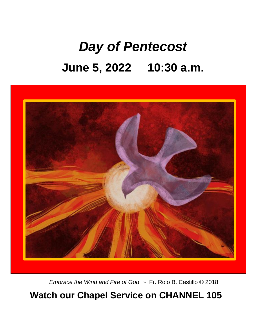# *Day of Pentecost* **June 5, 2022 10:30 a.m.**



*Embrace the Wind and Fire of God ~* Fr. Rolo B. Castillo © 2018

### **Watch our Chapel Service on CHANNEL 105**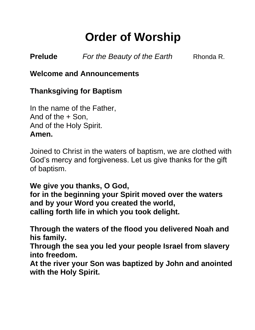## **Order of Worship**

**Prelude** *For the Beauty of the Earth* Rhonda R.

**Welcome and Announcements**

#### **Thanksgiving for Baptism**

In the name of the Father, And of the + Son, And of the Holy Spirit. **Amen.**

Joined to Christ in the waters of baptism, we are clothed with God's mercy and forgiveness. Let us give thanks for the gift of baptism.

**We give you thanks, O God, for in the beginning your Spirit moved over the waters and by your Word you created the world, calling forth life in which you took delight.** 

**Through the waters of the flood you delivered Noah and his family.** 

**Through the sea you led your people Israel from slavery into freedom.** 

**At the river your Son was baptized by John and anointed with the Holy Spirit.**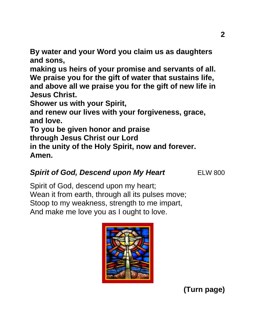**By water and your Word you claim us as daughters and sons,**

**making us heirs of your promise and servants of all. We praise you for the gift of water that sustains life, and above all we praise you for the gift of new life in Jesus Christ.** 

**Shower us with your Spirit,** 

**and renew our lives with your forgiveness, grace, and love.** 

**To you be given honor and praise**

**through Jesus Christ our Lord** 

**in the unity of the Holy Spirit, now and forever. Amen.** 

#### **Spirit of God, Descend upon My Heart ELW 800**

Spirit of God, descend upon my heart; Wean it from earth, through all its pulses move; Stoop to my weakness, strength to me impart, And make me love you as I ought to love.

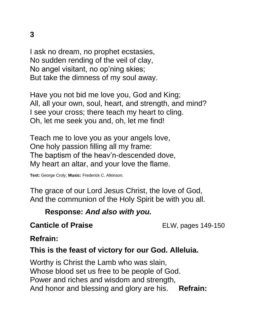I ask no dream, no prophet ecstasies, No sudden rending of the veil of clay, No angel visitant, no op'ning skies; But take the dimness of my soul away.

Have you not bid me love you, God and King; All, all your own, soul, heart, and strength, and mind? I see your cross; there teach my heart to cling. Oh, let me seek you and, oh, let me find!

Teach me to love you as your angels love, One holy passion filling all my frame: The baptism of the heav'n-descended dove, My heart an altar, and your love the flame.

**Text:** George Croly; **Music:** Frederick C. Atkinson.

The grace of our Lord Jesus Christ, the love of God, And the communion of the Holy Spirit be with you all.

#### **Response:** *And also with you.*

#### **Canticle of Praise** ELW, pages 149-150

#### **Refrain:**

#### **This is the feast of victory for our God. Alleluia.**

Worthy is Christ the Lamb who was slain, Whose blood set us free to be people of God. Power and riches and wisdom and strength, And honor and blessing and glory are his. **Refrain:**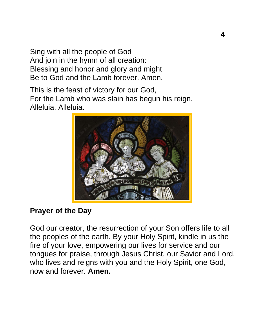Sing with all the people of God And join in the hymn of all creation: Blessing and honor and glory and might Be to God and the Lamb forever. Amen.

This is the feast of victory for our God, For the Lamb who was slain has begun his reign. Alleluia. Alleluia.



#### **Prayer of the Day**

God our creator, the resurrection of your Son offers life to all the peoples of the earth. By your Holy Spirit, kindle in us the fire of your love, empowering our lives for service and our tongues for praise, through Jesus Christ, our Savior and Lord, who lives and reigns with you and the Holy Spirit, one God, now and forever. **Amen.**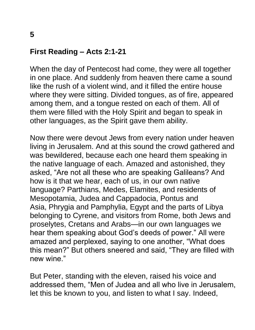#### **First Reading – Acts 2:1-21**

When the day of Pentecost had come, they were all together in one place. And suddenly from heaven there came a sound like the rush of a violent wind, and it filled the entire house where they were sitting. Divided tongues, as of fire, appeared among them, and a tongue rested on each of them. All of them were filled with the Holy Spirit and began to speak in other languages, as the Spirit gave them ability.

Now there were devout Jews from every nation under heaven living in Jerusalem. And at this sound the crowd gathered and was bewildered, because each one heard them speaking in the native language of each. Amazed and astonished, they asked, "Are not all these who are speaking Galileans? And how is it that we hear, each of us, in our own native language? Parthians, Medes, Elamites, and residents of Mesopotamia, Judea and Cappadocia, Pontus and Asia, Phrygia and Pamphylia, Egypt and the parts of Libya belonging to Cyrene, and visitors from Rome, both Jews and proselytes, Cretans and Arabs—in our own languages we hear them speaking about God's deeds of power." All were amazed and perplexed, saying to one another, "What does this mean?" But others sneered and said, "They are filled with new wine."

But Peter, standing with the eleven, raised his voice and addressed them, "Men of Judea and all who live in Jerusalem, let this be known to you, and listen to what I say. Indeed,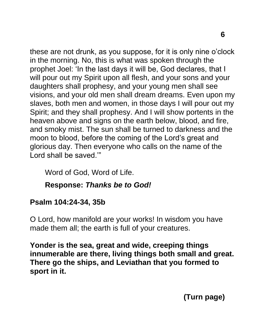these are not drunk, as you suppose, for it is only nine o'clock in the morning. No, this is what was spoken through the prophet Joel: 'In the last days it will be, God declares, that I will pour out my Spirit upon all flesh, and your sons and your daughters shall prophesy, and your young men shall see visions, and your old men shall dream dreams. Even upon my slaves, both men and women, in those days I will pour out my Spirit; and they shall prophesy. And I will show portents in the heaven above and signs on the earth below, blood, and fire, and smoky mist. The sun shall be turned to darkness and the moon to blood, before the coming of the Lord's great and glorious day. Then everyone who calls on the name of the Lord shall be saved.'"

Word of God, Word of Life.

#### **Response:** *Thanks be to God!*

#### **Psalm 104:24-34, 35b**

O Lord, how manifold are your works! In wisdom you have made them all; the earth is full of your creatures.

**Yonder is the sea, great and wide, creeping things innumerable are there, living things both small and great. There go the ships, and Leviathan that you formed to sport in it.**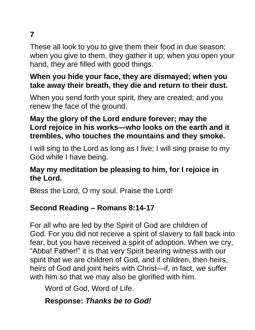### **7**

These all look to you to give them their food in due season; when you give to them, they gather it up; when you open your hand, they are filled with good things.

#### **When you hide your face, they are dismayed; when you take away their breath, they die and return to their dust.**

When you send forth your spirit, they are created; and you renew the face of the ground.

#### **May the glory of the Lord endure forever; may the Lord rejoice in his works—who looks on the earth and it trembles, who touches the mountains and they smoke.**

I will sing to the Lord as long as I live; I will sing praise to my God while I have being.

#### **May my meditation be pleasing to him, for I rejoice in the Lord.**

Bless the Lord, O my soul. Praise the Lord!

#### **Second Reading – Romans 8:14-17**

For all who are led by the Spirit of God are children of God. For you did not receive a spirit of slavery to fall back into fear, but you have received a spirit of adoption. When we cry, "Abba! Father!" it is that very Spirit bearing witness with our spirit that we are children of God, and if children, then heirs, heirs of God and joint heirs with Christ—if, in fact, we suffer with him so that we may also be glorified with him.

Word of God, Word of Life.

#### **Response:** *Thanks be to God!*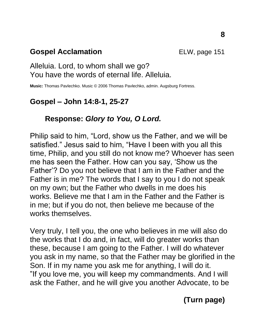#### **Gospel Acclamation ELW**, page 151

#### Alleluia. Lord, to whom shall we go? You have the words of eternal life. Alleluia.

**Music:** Thomas Pavlechko. Music © 2006 Thomas Pavlechko, admin. Augsburg Fortress.

#### **Gospel – John 14:8-1, 25-27**

#### **Response:** *Glory to You, O Lord.*

Philip said to him, "Lord, show us the Father, and we will be satisfied." Jesus said to him, "Have I been with you all this time, Philip, and you still do not know me? Whoever has seen me has seen the Father. How can you say, 'Show us the Father'? Do you not believe that I am in the Father and the Father is in me? The words that I say to you I do not speak on my own; but the Father who dwells in me does his works. Believe me that I am in the Father and the Father is in me; but if you do not, then believe me because of the works themselves.

Very truly, I tell you, the one who believes in me will also do the works that I do and, in fact, will do greater works than these, because I am going to the Father. I will do whatever you ask in my name, so that the Father may be glorified in the Son. If in my name you ask me for anything, I will do it. "If you love me, you will keep my commandments. And I will ask the Father, and he will give you another Advocate, to be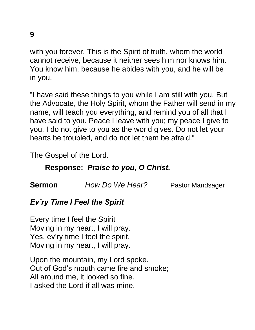**9**

with you forever. This is the Spirit of truth, whom the world cannot receive, because it neither sees him nor knows him. You know him, because he abides with you, and he will be in you.

"I have said these things to you while I am still with you. But the Advocate, the Holy Spirit, whom the Father will send in my name, will teach you everything, and remind you of all that I have said to you. Peace I leave with you; my peace I give to you. I do not give to you as the world gives. Do not let your hearts be troubled, and do not let them be afraid."

The Gospel of the Lord.

#### **Response:** *Praise to you, O Christ.*

**Sermon** *How Do We Hear?* Pastor Mandsager

#### *Ev'ry Time I Feel the Spirit*

Every time I feel the Spirit Moving in my heart, I will pray. Yes, ev'ry time I feel the spirit, Moving in my heart, I will pray.

Upon the mountain, my Lord spoke. Out of God's mouth came fire and smoke; All around me, it looked so fine. I asked the Lord if all was mine.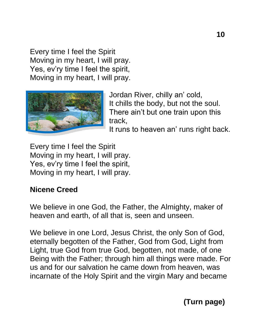Every time I feel the Spirit Moving in my heart, I will pray. Yes, ev'ry time I feel the spirit, Moving in my heart, I will pray.



Jordan River, chilly an' cold, It chills the body, but not the soul. There ain't but one train upon this track,

It runs to heaven an' runs right back.

Every time I feel the Spirit Moving in my heart, I will pray. Yes, ev'ry time I feel the spirit, Moving in my heart, I will pray.

#### **Nicene Creed**

We believe in one God, the Father, the Almighty, maker of heaven and earth, of all that is, seen and unseen.

We believe in one Lord, Jesus Christ, the only Son of God, eternally begotten of the Father, God from God, Light from Light, true God from true God, begotten, not made, of one Being with the Father; through him all things were made. For us and for our salvation he came down from heaven, was incarnate of the Holy Spirit and the virgin Mary and became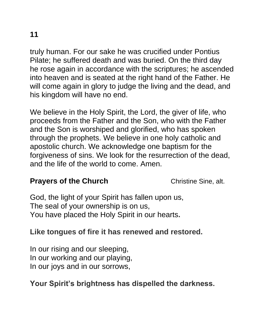truly human. For our sake he was crucified under Pontius Pilate; he suffered death and was buried. On the third day he rose again in accordance with the scriptures; he ascended into heaven and is seated at the right hand of the Father. He will come again in glory to judge the living and the dead, and his kingdom will have no end.

We believe in the Holy Spirit, the Lord, the giver of life, who proceeds from the Father and the Son, who with the Father and the Son is worshiped and glorified, who has spoken through the prophets. We believe in one holy catholic and apostolic church. We acknowledge one baptism for the forgiveness of sins. We look for the resurrection of the dead, and the life of the world to come. Amen.

#### **Prayers of the Church** Christine Sine, alt.

God, the light of your Spirit has fallen upon us, The seal of your ownership is on us, You have placed the Holy Spirit in our hearts**.**

### **Like tongues of fire it has renewed and restored.**

In our rising and our sleeping, In our working and our playing, In our joys and in our sorrows,

#### **Your Spirit's brightness has dispelled the darkness.**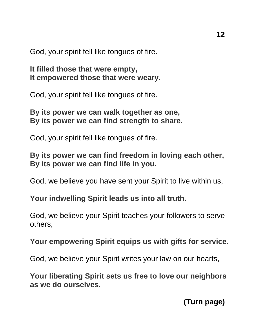God, your spirit fell like tongues of fire.

**It filled those that were empty, It empowered those that were weary.**

God, your spirit fell like tongues of fire.

**By its power we can walk together as one, By its power we can find strength to share.**

God, your spirit fell like tongues of fire.

**By its power we can find freedom in loving each other, By its power we can find life in you.**

God, we believe you have sent your Spirit to live within us,

**Your indwelling Spirit leads us into all truth.**

God, we believe your Spirit teaches your followers to serve others,

**Your empowering Spirit equips us with gifts for service.**

God, we believe your Spirit writes your law on our hearts,

**Your liberating Spirit sets us free to love our neighbors as we do ourselves.**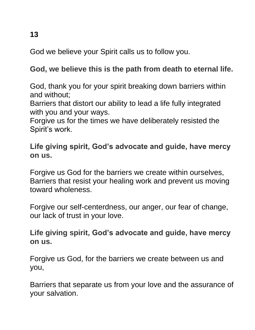God we believe your Spirit calls us to follow you.

#### **God, we believe this is the path from death to eternal life.**

God, thank you for your spirit breaking down barriers within and without;

Barriers that distort our ability to lead a life fully integrated with you and your ways.

Forgive us for the times we have deliberately resisted the Spirit's work.

#### **Life giving spirit, God's advocate and guide, have mercy on us.**

Forgive us God for the barriers we create within ourselves, Barriers that resist your healing work and prevent us moving toward wholeness.

Forgive our self-centerdness, our anger, our fear of change, our lack of trust in your love.

#### **Life giving spirit, God's advocate and guide, have mercy on us.**

Forgive us God, for the barriers we create between us and you,

Barriers that separate us from your love and the assurance of your salvation.

**13**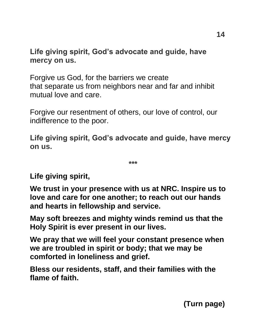**Life giving spirit, God's advocate and guide, have mercy on us.**

Forgive us God, for the barriers we create that separate us from neighbors near and far and inhibit mutual love and care.

Forgive our resentment of others, our love of control, our indifference to the poor.

**Life giving spirit, God's advocate and guide, have mercy on us.**

**\*\*\***

**Life giving spirit,**

**We trust in your presence with us at NRC. Inspire us to love and care for one another; to reach out our hands and hearts in fellowship and service.**

**May soft breezes and mighty winds remind us that the Holy Spirit is ever present in our lives.**

**We pray that we will feel your constant presence when we are troubled in spirit or body; that we may be comforted in loneliness and grief.** 

**Bless our residents, staff, and their families with the flame of faith.**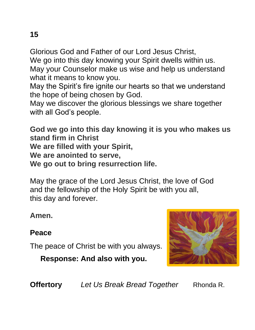Glorious God and Father of our Lord Jesus Christ, We go into this day knowing your Spirit dwells within us. May your Counselor make us wise and help us understand what it means to know you.

May the Spirit's fire ignite our hearts so that we understand the hope of being chosen by God.

May we discover the glorious blessings we share together with all God's people.

**God we go into this day knowing it is you who makes us stand firm in Christ We are filled with your Spirit, We are anointed to serve, We go out to bring resurrection life.**

May the grace of the Lord Jesus Christ, the love of God and the fellowship of the Holy Spirit be with you all, this day and forever.

**Amen.**

### **Peace**

The peace of Christ be with you always.

 **Response: And also with you.**



**Offertory** *Let Us Break Bread Together* Rhonda R.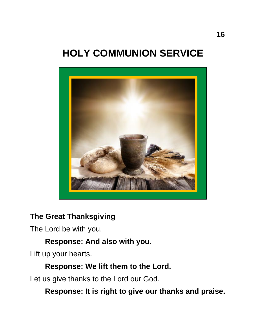### **HOLY COMMUNION SERVICE**



#### **The Great Thanksgiving**

The Lord be with you.

#### **Response: And also with you.**

Lift up your hearts.

#### **Response: We lift them to the Lord.**

Let us give thanks to the Lord our God.

**Response: It is right to give our thanks and praise.**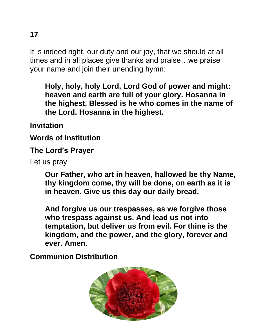It is indeed right, our duty and our joy, that we should at all times and in all places give thanks and praise…we praise your name and join their unending hymn:

**Holy, holy, holy Lord, Lord God of power and might: heaven and earth are full of your glory. Hosanna in the highest. Blessed is he who comes in the name of the Lord. Hosanna in the highest.**

**Invitation**

**Words of Institution**

**The Lord's Prayer**

Let us pray.

**Our Father, who art in heaven, hallowed be thy Name, thy kingdom come, thy will be done, on earth as it is in heaven. Give us this day our daily bread.** 

**And forgive us our trespasses, as we forgive those who trespass against us. And lead us not into temptation, but deliver us from evil. For thine is the kingdom, and the power, and the glory, forever and ever. Amen.**

**Communion Distribution**



**17**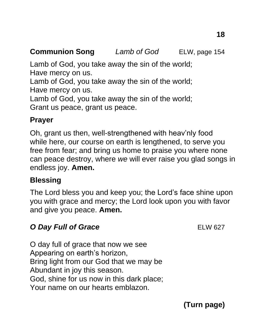#### **Communion Song** *Lamb of God* ELW, page 154

Lamb of God, you take away the sin of the world; Have mercy on us.

Lamb of God, you take away the sin of the world; Have mercy on us.

Lamb of God, you take away the sin of the world; Grant us peace, grant us peace.

#### **Prayer**

Oh, grant us then, well-strengthened with heav'nly food while here, our course on earth is lengthened, to serve you free from fear; and bring us home to praise you where none can peace destroy, where *we* will ever raise you glad songs in endless joy. **Amen.**

#### **Blessing**

The Lord bless you and keep you; the Lord's face shine upon you with grace and mercy; the Lord look upon you with favor and give you peace. **Amen.**

#### **O Day Full of Grace** *ELW 627*

O day full of grace that now we see Appearing on earth's horizon, Bring light from our God that we may be Abundant in joy this season. God, shine for us now in this dark place; Your name on our hearts emblazon.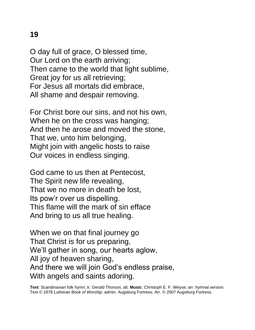O day full of grace, O blessed time, Our Lord on the earth arriving; Then came to the world that light sublime, Great joy for us all retrieving; For Jesus all mortals did embrace, All shame and despair removing.

For Christ bore our sins, and not his own, When he on the cross was hanging; And then he arose and moved the stone, That we, unto him belonging, Might join with angelic hosts to raise Our voices in endless singing.

God came to us then at Pentecost, The Spirit new life revealing, That we no more in death be lost, Its pow'r over us dispelling. This flame will the mark of sin efface And bring to us all true healing.

When we on that final journey go That Christ is for us preparing, We'll gather in song, our hearts aglow, All joy of heaven sharing, And there we will join God's endless praise, With angels and saints adoring.

**Text**: Scandinavian folk hymn; tr. Gerald Thorson, alt. **Music**: Christoph E. F. Weyse; arr. hymnal version. Text © 1978 *Lutheran Book of Worship*, admin. Augsburg Fortress; Arr. © 2007 Augsburg Fortress.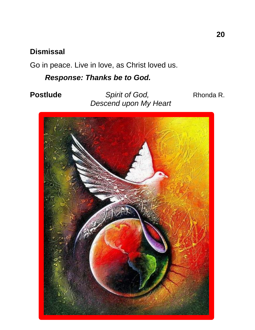#### **Dismissal**

Go in peace. Live in love, as Christ loved us.

*Response: Thanks be to God.* 

**Postlude** *Spirit of God,* **Rhonda R.** *Descend upon My Heart*